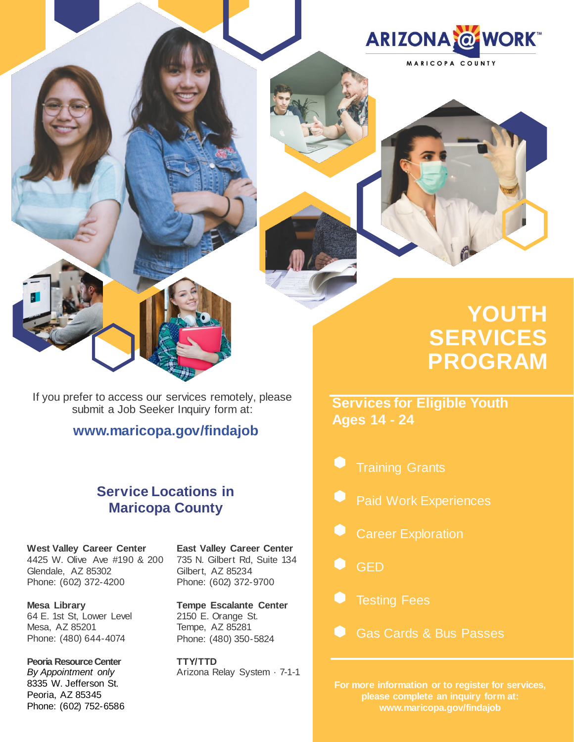



# **YOUTH SERVICES PROGRAM**

**Services for Eligible Youth Ages 14 - 24**

- Training Grants
- Paid Work Experiences
- Career Exploration
- GED
- Testing Fees
- Gas Cards & Bus Passes

**For more information or to register for services, please complete an inquiry form at: [www.maricopa.gov/findajob](http://www.maricopa.gov/findajob)**

If you prefer to access our services remotely, please submit a Job Seeker Inquiry form at:

**[www.maricopa.gov/findajob](http://www.maricopa.gov/findajob)**

## **Service Locations in Maricopa County**

**West Valley Career Center** 4425 W. Olive Ave #190 & 200 Glendale, AZ 85302 Phone: (602) 372-4200

**Mesa Library** 64 E. 1st St, Lower Level Mesa, AZ 85201 Phone: (480) 644-4074

**Peoria Resource Center** *By Appointment only* 8335 W. Jefferson St. Peoria, AZ 85345 Phone: (602) 752-6586 **East Valley Career Center** 735 N. Gilbert Rd, Suite 134 Gilbert, AZ 85234 Phone: (602) 372-9700

**Tempe Escalante Center** 2150 E. Orange St. Tempe, AZ 85281 Phone: (480) 350-5824

**TTY/TTD** Arizona Relay System · 7-1-1